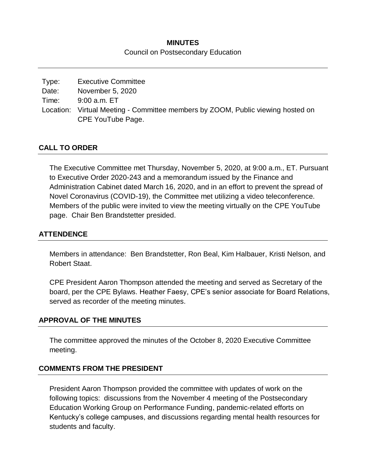# **MINUTES** Council on Postsecondary Education

| Type: | <b>Executive Committee</b>                                                      |
|-------|---------------------------------------------------------------------------------|
| Date: | November 5, 2020                                                                |
| Time: | 9:00 a.m. ET                                                                    |
|       | Location: Virtual Meeting - Committee members by ZOOM, Public viewing hosted on |
|       | CPE YouTube Page.                                                               |

## **CALL TO ORDER**

The Executive Committee met Thursday, November 5, 2020, at 9:00 a.m., ET. Pursuant to Executive Order 2020-243 and a memorandum issued by the Finance and Administration Cabinet dated March 16, 2020, and in an effort to prevent the spread of Novel Coronavirus (COVID-19), the Committee met utilizing a video teleconference. Members of the public were invited to view the meeting virtually on the CPE YouTube page. Chair Ben Brandstetter presided.

## **ATTENDENCE**

Members in attendance: Ben Brandstetter, Ron Beal, Kim Halbauer, Kristi Nelson, and Robert Staat.

CPE President Aaron Thompson attended the meeting and served as Secretary of the board, per the CPE Bylaws. Heather Faesy, CPE's senior associate for Board Relations, served as recorder of the meeting minutes.

#### **APPROVAL OF THE MINUTES**

The committee approved the minutes of the October 8, 2020 Executive Committee meeting.

#### **COMMENTS FROM THE PRESIDENT**

President Aaron Thompson provided the committee with updates of work on the following topics: discussions from the November 4 meeting of the Postsecondary Education Working Group on Performance Funding, pandemic-related efforts on Kentucky's college campuses, and discussions regarding mental health resources for students and faculty.